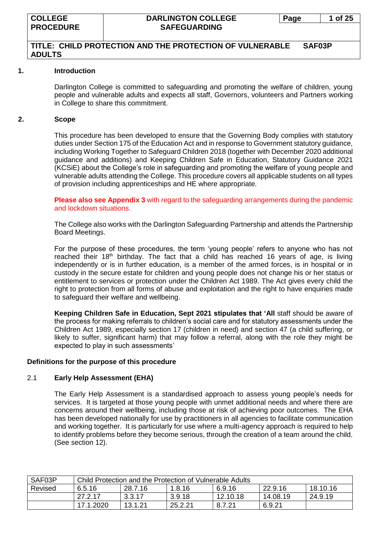## **TITLE: CHILD PROTECTION AND THE PROTECTION OF VULNERABLE SAF03P ADULTS**

#### **1. Introduction**

Darlington College is committed to safeguarding and promoting the welfare of children, young people and vulnerable adults and expects all staff, Governors, volunteers and Partners working in College to share this commitment.

#### **2. Scope**

This procedure has been developed to ensure that the Governing Body complies with statutory duties under Section 175 of the Education Act and in response to Government statutory guidance, including Working Together to Safeguard Children 2018 (together with December 2020 additional guidance and additions) and Keeping Children Safe in Education, Statutory Guidance 2021 (KCSiE) about the College's role in safeguarding and promoting the welfare of young people and vulnerable adults attending the College. This procedure covers all applicable students on all types of provision including apprenticeships and HE where appropriate.

**Please also see Appendix 3** with regard to the safeguarding arrangements during the pandemic and lockdown situations.

The College also works with the Darlington Safeguarding Partnership and attends the Partnership Board Meetings.

For the purpose of these procedures, the term 'young people' refers to anyone who has not reached their 18<sup>th</sup> birthday. The fact that a child has reached 16 years of age, is living independently or is in further education, is a member of the armed forces, is in hospital or in custody in the secure estate for children and young people does not change his or her status or entitlement to services or protection under the Children Act 1989. The Act gives every child the right to protection from all forms of abuse and exploitation and the right to have enquiries made to safeguard their welfare and wellbeing.

**Keeping Children Safe in Education, Sept 2021 stipulates that 'All** staff should be aware of the process for making referrals to children's social care and for statutory assessments under the Children Act 1989, especially section 17 (children in need) and section 47 (a child suffering, or likely to suffer, significant harm) that may follow a referral, along with the role they might be expected to play in such assessments'

#### **Definitions for the purpose of this procedure**

#### 2.1 **Early Help Assessment (EHA)**

The Early Help Assessment is a standardised approach to assess young people's needs for services. It is targeted at those young people with unmet additional needs and where there are concerns around their wellbeing, including those at risk of achieving poor outcomes. The EHA has been developed nationally for use by practitioners in all agencies to facilitate communication and working together. It is particularly for use where a multi-agency approach is required to help to identify problems before they become serious, through the creation of a team around the child. (See section 12).

| SAF03P  | Child Protection and the Protection of Vulnerable Adults |                                                    |        |          |          |         |  |  |  |
|---------|----------------------------------------------------------|----------------------------------------------------|--------|----------|----------|---------|--|--|--|
| Revised | 6.5.16                                                   | 22.9.16<br>28.7.16<br>18.10.16<br>1.8.16<br>6.9.16 |        |          |          |         |  |  |  |
|         | 27.2.17                                                  | 3.3.17                                             | 3.9.18 | 12.10.18 | 14.08.19 | 24.9.19 |  |  |  |
|         | 17.1.2020                                                | 13.1.21<br>25.2.21<br>6.9.21<br>8.7.21             |        |          |          |         |  |  |  |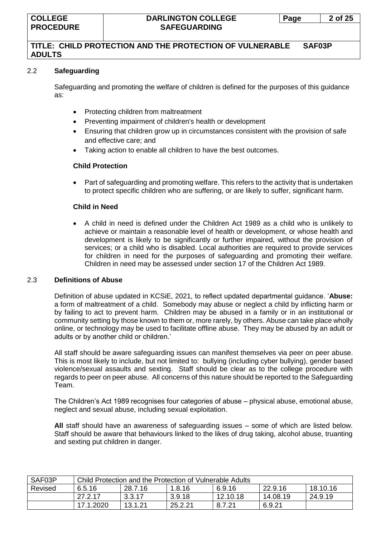## 2.2 **Safeguarding**

Safeguarding and promoting the welfare of children is defined for the purposes of this guidance as:

- Protecting children from maltreatment
- Preventing impairment of children's health or development
- Ensuring that children grow up in circumstances consistent with the provision of safe and effective care; and
- Taking action to enable all children to have the best outcomes.

#### **Child Protection**

• Part of safeguarding and promoting welfare. This refers to the activity that is undertaken to protect specific children who are suffering, or are likely to suffer, significant harm.

#### **Child in Need**

• A child in need is defined under the Children Act 1989 as a child who is unlikely to achieve or maintain a reasonable level of health or development, or whose health and development is likely to be significantly or further impaired, without the provision of services; or a child who is disabled. Local authorities are required to provide services for children in need for the purposes of safeguarding and promoting their welfare. Children in need may be assessed under section 17 of the Children Act 1989.

#### 2.3 **Definitions of Abuse**

Definition of abuse updated in KCSiE, 2021, to reflect updated departmental guidance. '**Abuse:**  a form of maltreatment of a child. Somebody may abuse or neglect a child by inflicting harm or by failing to act to prevent harm. Children may be abused in a family or in an institutional or community setting by those known to them or, more rarely, by others. Abuse can take place wholly online, or technology may be used to facilitate offline abuse. They may be abused by an adult or adults or by another child or children.'

All staff should be aware safeguarding issues can manifest themselves via peer on peer abuse. This is most likely to include, but not limited to: bullying (including cyber bullying), gender based violence/sexual assaults and sexting. Staff should be clear as to the college procedure with regards to peer on peer abuse. All concerns of this nature should be reported to the Safeguarding Team.

The Children's Act 1989 recognises four categories of abuse – physical abuse, emotional abuse, neglect and sexual abuse, including sexual exploitation.

**All** staff should have an awareness of safeguarding issues – some of which are listed below. Staff should be aware that behaviours linked to the likes of drug taking, alcohol abuse, truanting and sexting put children in danger.

| SAF03P  | Child Protection and the Protection of Vulnerable Adults |                                                    |        |          |          |         |  |  |  |
|---------|----------------------------------------------------------|----------------------------------------------------|--------|----------|----------|---------|--|--|--|
| Revised | 6.5.16                                                   | 22.9.16<br>28.7.16<br>6.9.16<br>18.10.16<br>1.8.16 |        |          |          |         |  |  |  |
|         | 27.2.17                                                  | 3.3.17                                             | 3.9.18 | 12.10.18 | 14.08.19 | 24.9.19 |  |  |  |
|         | 17.1.2020                                                | 13.1.21<br>25.2.21<br>6.9.21<br>8.7.21             |        |          |          |         |  |  |  |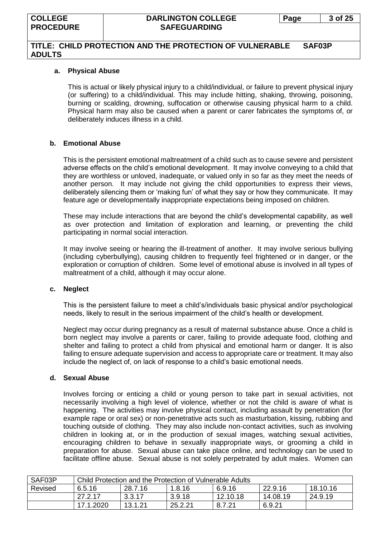## **TITLE: CHILD PROTECTION AND THE PROTECTION OF VULNERABLE SAF03P ADULTS**

#### **a. Physical Abuse**

This is actual or likely physical injury to a child/individual, or failure to prevent physical injury (or suffering) to a child/individual. This may include hitting, shaking, throwing, poisoning, burning or scalding, drowning, suffocation or otherwise causing physical harm to a child. Physical harm may also be caused when a parent or carer fabricates the symptoms of, or deliberately induces illness in a child.

#### **b. Emotional Abuse**

This is the persistent emotional maltreatment of a child such as to cause severe and persistent adverse effects on the child's emotional development. It may involve conveying to a child that they are worthless or unloved, inadequate, or valued only in so far as they meet the needs of another person. It may include not giving the child opportunities to express their views, deliberately silencing them or 'making fun' of what they say or how they communicate. It may feature age or developmentally inappropriate expectations being imposed on children.

These may include interactions that are beyond the child's developmental capability, as well as over protection and limitation of exploration and learning, or preventing the child participating in normal social interaction.

It may involve seeing or hearing the ill-treatment of another. It may involve serious bullying (including cyberbullying), causing children to frequently feel frightened or in danger, or the exploration or corruption of children. Some level of emotional abuse is involved in all types of maltreatment of a child, although it may occur alone.

#### **c. Neglect**

This is the persistent failure to meet a child's/individuals basic physical and/or psychological needs, likely to result in the serious impairment of the child's health or development.

Neglect may occur during pregnancy as a result of maternal substance abuse. Once a child is born neglect may involve a parents or carer, failing to provide adequate food, clothing and shelter and failing to protect a child from physical and emotional harm or danger. It is also failing to ensure adequate supervision and access to appropriate care or treatment. It may also include the neglect of, on lack of response to a child's basic emotional needs.

#### **d. Sexual Abuse**

Involves forcing or enticing a child or young person to take part in sexual activities, not necessarily involving a high level of violence, whether or not the child is aware of what is happening. The activities may involve physical contact, including assault by penetration (for example rape or oral sex) or non-penetrative acts such as masturbation, kissing, rubbing and touching outside of clothing. They may also include non-contact activities, such as involving children in looking at, or in the production of sexual images, watching sexual activities, encouraging children to behave in sexually inappropriate ways, or grooming a child in preparation for abuse. Sexual abuse can take place online, and technology can be used to facilitate offline abuse. Sexual abuse is not solely perpetrated by adult males. Women can

| SAF03P  | Child Protection and the Protection of Vulnerable Adults |                                                    |         |          |          |         |  |  |
|---------|----------------------------------------------------------|----------------------------------------------------|---------|----------|----------|---------|--|--|
| Revised | 6.5.16                                                   | 22.9.16<br>28.7.16<br>6.9.16<br>18.10.16<br>1.8.16 |         |          |          |         |  |  |
|         | 27.2.17                                                  | 3.3.17                                             | 3.9.18  | 12.10.18 | 14.08.19 | 24.9.19 |  |  |
|         | 17.1.2020                                                | 13.1.21                                            | 25.2.21 | 8.7.21   | 6.9.21   |         |  |  |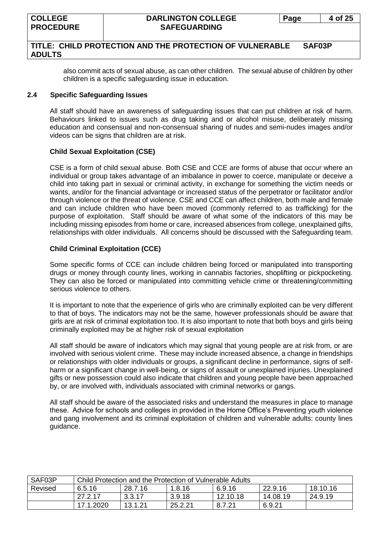also commit acts of sexual abuse, as can other children. The sexual abuse of children by other children is a specific safeguarding issue in education.

## **2.4 Specific Safeguarding Issues**

All staff should have an awareness of safeguarding issues that can put children at risk of harm. Behaviours linked to issues such as drug taking and or alcohol misuse, deliberately missing education and consensual and non-consensual sharing of nudes and semi-nudes images and/or videos can be signs that children are at risk.

#### **Child Sexual Exploitation (CSE)**

CSE is a form of child sexual abuse. Both CSE and CCE are forms of abuse that occur where an individual or group takes advantage of an imbalance in power to coerce, manipulate or deceive a child into taking part in sexual or criminal activity, in exchange for something the victim needs or wants, and/or for the financial advantage or increased status of the perpetrator or facilitator and/or through violence or the threat of violence. CSE and CCE can affect children, both male and female and can include children who have been moved (commonly referred to as trafficking) for the purpose of exploitation. Staff should be aware of what some of the indicators of this may be including missing episodes from home or care, increased absences from college, unexplained gifts, relationships with older individuals. All concerns should be discussed with the Safeguarding team.

## **Child Criminal Exploitation (CCE)**

Some specific forms of CCE can include children being forced or manipulated into transporting drugs or money through county lines, working in cannabis factories, shoplifting or pickpocketing. They can also be forced or manipulated into committing vehicle crime or threatening/committing serious violence to others.

It is important to note that the experience of girls who are criminally exploited can be very different to that of boys. The indicators may not be the same, however professionals should be aware that girls are at risk of criminal exploitation too. It is also important to note that both boys and girls being criminally exploited may be at higher risk of sexual exploitation

All staff should be aware of indicators which may signal that young people are at risk from, or are involved with serious violent crime. These may include increased absence, a change in friendships or relationships with older individuals or groups, a significant decline in performance, signs of selfharm or a significant change in well-being, or signs of assault or unexplained injuries. Unexplained gifts or new possession could also indicate that children and young people have been approached by, or are involved with, individuals associated with criminal networks or gangs.

All staff should be aware of the associated risks and understand the measures in place to manage these. Advice for schools and colleges in provided in the Home Office's Preventing youth violence and gang involvement and its criminal exploitation of children and vulnerable adults: county lines guidance.

| SAF03P  | Child Protection and the Protection of Vulnerable Adults     |        |        |          |          |         |  |  |
|---------|--------------------------------------------------------------|--------|--------|----------|----------|---------|--|--|
| Revised | 18.10.16<br>28.7.16<br>22.9.16<br>6.5.16<br>6.9.16<br>1.8.16 |        |        |          |          |         |  |  |
|         | 27.2.17                                                      | 3.3.17 | 3.9.18 | 12.10.18 | 14.08.19 | 24.9.19 |  |  |
|         | 17.1.2020<br>13.1.21<br>25.2.21<br>6.9.21<br>8.7.21          |        |        |          |          |         |  |  |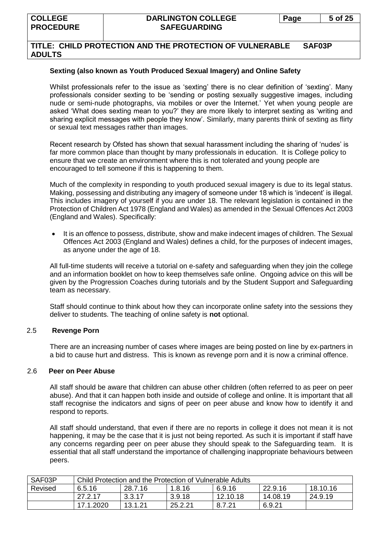## **Sexting (also known as Youth Produced Sexual Imagery) and Online Safety**

Whilst professionals refer to the issue as 'sexting' there is no clear definition of 'sexting'. Many professionals consider sexting to be 'sending or posting sexually suggestive images, including nude or semi-nude photographs, via mobiles or over the Internet.' Yet when young people are asked 'What does sexting mean to you?' they are more likely to interpret sexting as 'writing and sharing explicit messages with people they know'. Similarly, many parents think of sexting as flirty or sexual text messages rather than images.

Recent research by Ofsted has shown that sexual harassment including the sharing of 'nudes' is far more common place than thought by many professionals in education. It is College policy to ensure that we create an environment where this is not tolerated and young people are encouraged to tell someone if this is happening to them.

Much of the complexity in responding to youth produced sexual imagery is due to its legal status. Making, possessing and distributing any imagery of someone under 18 which is 'indecent' is illegal. This includes imagery of yourself if you are under 18. The relevant legislation is contained in the Protection of Children Act 1978 (England and Wales) as amended in the Sexual Offences Act 2003 (England and Wales). Specifically:

• It is an offence to possess, distribute, show and make indecent images of children. The Sexual Offences Act 2003 (England and Wales) defines a child, for the purposes of indecent images, as anyone under the age of 18.

All full-time students will receive a tutorial on e-safety and safeguarding when they join the college and an information booklet on how to keep themselves safe online. Ongoing advice on this will be given by the Progression Coaches during tutorials and by the Student Support and Safeguarding team as necessary.

Staff should continue to think about how they can incorporate online safety into the sessions they deliver to students. The teaching of online safety is **not** optional.

## 2.5 **Revenge Porn**

There are an increasing number of cases where images are being posted on line by ex-partners in a bid to cause hurt and distress. This is known as revenge porn and it is now a criminal offence.

#### 2.6 **Peer on Peer Abuse**

All staff should be aware that children can abuse other children (often referred to as peer on peer abuse). And that it can happen both inside and outside of college and online. It is important that all staff recognise the indicators and signs of peer on peer abuse and know how to identify it and respond to reports.

All staff should understand, that even if there are no reports in college it does not mean it is not happening, it may be the case that it is just not being reported. As such it is important if staff have any concerns regarding peer on peer abuse they should speak to the Safeguarding team. It is essential that all staff understand the importance of challenging inappropriate behaviours between peers.

| SAF03P  | Child Protection and the Protection of Vulnerable Adults |                                                    |         |          |          |         |  |  |
|---------|----------------------------------------------------------|----------------------------------------------------|---------|----------|----------|---------|--|--|
| Revised | 6.5.16                                                   | 18.10.16<br>28.7.16<br>22.9.16<br>1.8.16<br>6.9.16 |         |          |          |         |  |  |
|         | 27.2.17                                                  | 3.3.17                                             | 3.9.18  | 12.10.18 | 14.08.19 | 24.9.19 |  |  |
|         | 17.1.2020                                                | 13.1.21                                            | 25.2.21 | 8.7.21   | 6.9.21   |         |  |  |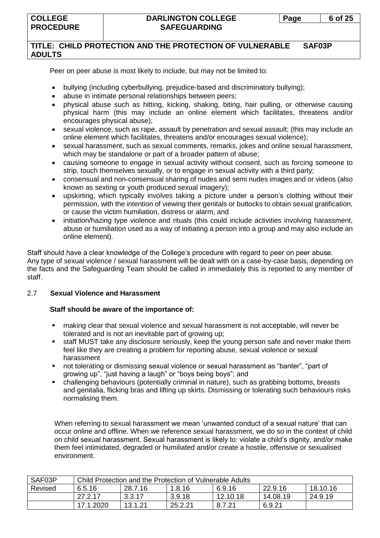## **TITLE: CHILD PROTECTION AND THE PROTECTION OF VULNERABLE SAF03P ADULTS**

Peer on peer abuse is most likely to include, but may not be limited to:

- bullying (including cyberbullying, prejudice-based and discriminatory bullying);
- abuse in intimate personal relationships between peers;
- physical abuse such as hitting, kicking, shaking, biting, hair pulling, or otherwise causing physical harm (this may include an online element which facilitates, threatens and/or encourages physical abuse);
- sexual violence, such as rape, assault by penetration and sexual assault; (this may include an online element which facilitates, threatens and/or encourages sexual violence);
- sexual harassment, such as sexual comments, remarks, jokes and online sexual harassment, which may be standalone or part of a broader pattern of abuse;
- causing someone to engage in sexual activity without consent, such as forcing someone to strip, touch themselves sexually, or to engage in sexual activity with a third party;
- consensual and non-consensual sharing of nudes and semi nudes images and or videos (also known as sexting or youth produced sexual imagery);
- upskirting, which typically involves taking a picture under a person's clothing without their permission, with the intention of viewing their genitals or buttocks to obtain sexual gratification, or cause the victim humiliation, distress or alarm; and
- initiation/hazing type violence and rituals (this could include activities involving harassment, abuse or humiliation used as a way of initiating a person into a group and may also include an online element).

Staff should have a clear knowledge of the College's procedure with regard to peer on peer abuse. Any type of sexual violence / sexual harassment will be dealt with on a case-by-case basis, depending on the facts and the Safeguarding Team should be called in immediately this is reported to any member of staff.

## 2.7 **Sexual Violence and Harassment**

## **Staff should be aware of the importance of:**

- making clear that sexual violence and sexual harassment is not acceptable, will never be tolerated and is not an inevitable part of growing up;
- **EXECT Staff MUST take any disclosure seriously, keep the young person safe and never make them** feel like they are creating a problem for reporting abuse, sexual violence or sexual harassment
- not tolerating or dismissing sexual violence or sexual harassment as "banter", "part of growing up", "just having a laugh" or "boys being boys"; and
- challenging behaviours (potentially criminal in nature), such as grabbing bottoms, breasts and genitalia, flicking bras and lifting up skirts. Dismissing or tolerating such behaviours risks normalising them.

When referring to sexual harassment we mean 'unwanted conduct of a sexual nature' that can occur online and offline. When we reference sexual harassment, we do so in the context of child on child sexual harassment. Sexual harassment is likely to: violate a child's dignity, and/or make them feel intimidated, degraded or humiliated and/or create a hostile, offensive or sexualised environment.

| SAF03P  | Child Protection and the Protection of Vulnerable Adults |                                                    |         |          |          |         |  |  |
|---------|----------------------------------------------------------|----------------------------------------------------|---------|----------|----------|---------|--|--|
| Revised | 6.5.16                                                   | 22.9.16<br>28.7.16<br>6.9.16<br>18.10.16<br>1.8.16 |         |          |          |         |  |  |
|         | 27.2.17                                                  | 3.3.17                                             | 3.9.18  | 12.10.18 | 14.08.19 | 24.9.19 |  |  |
|         | 17.1.2020                                                | 13.1.21                                            | 25.2.21 | 8.7.21   | 6.9.21   |         |  |  |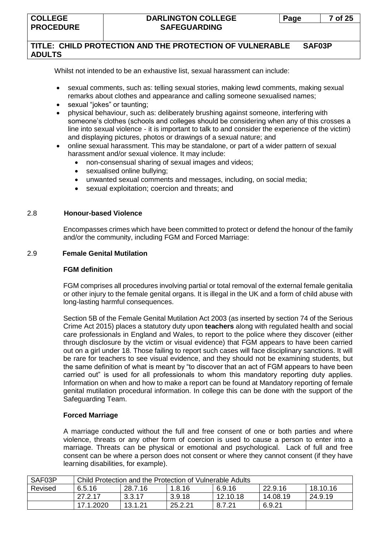# **TITLE: CHILD PROTECTION AND THE PROTECTION OF VULNERABLE SAF03P ADULTS**

Whilst not intended to be an exhaustive list, sexual harassment can include:

- sexual comments, such as: telling sexual stories, making lewd comments, making sexual remarks about clothes and appearance and calling someone sexualised names;
- sexual "jokes" or taunting;
- physical behaviour, such as: deliberately brushing against someone, interfering with someone's clothes (schools and colleges should be considering when any of this crosses a line into sexual violence - it is important to talk to and consider the experience of the victim) and displaying pictures, photos or drawings of a sexual nature; and
- online sexual harassment. This may be standalone, or part of a wider pattern of sexual harassment and/or sexual violence. It may include:
	- non-consensual sharing of sexual images and videos;
	- sexualised online bullying;
	- unwanted sexual comments and messages, including, on social media;
	- sexual exploitation; coercion and threats; and

#### 2.8 **Honour-based Violence**

Encompasses crimes which have been committed to protect or defend the honour of the family and/or the community, including FGM and Forced Marriage:

#### 2.9 **Female Genital Mutilation**

#### **FGM definition**

FGM comprises all procedures involving partial or total removal of the external female genitalia or other injury to the female genital organs. It is illegal in the UK and a form of child abuse with long-lasting harmful consequences.

Section 5B of the Female Genital Mutilation Act 2003 (as inserted by section 74 of the Serious Crime Act 2015) places a statutory duty upon **teachers** along with regulated health and social care professionals in England and Wales, to report to the police where they discover (either through disclosure by the victim or visual evidence) that FGM appears to have been carried out on a girl under 18. Those failing to report such cases will face disciplinary sanctions. It will be rare for teachers to see visual evidence, and they should not be examining students, but the same definition of what is meant by "to discover that an act of FGM appears to have been carried out" is used for all professionals to whom this mandatory reporting duty applies. Information on when and how to make a report can be found at Mandatory reporting of female genital mutilation procedural information. In college this can be done with the support of the Safeguarding Team.

#### **Forced Marriage**

A marriage conducted without the full and free consent of one or both parties and where violence, threats or any other form of coercion is used to cause a person to enter into a marriage. Threats can be physical or emotional and psychological. Lack of full and free consent can be where a person does not consent or where they cannot consent (if they have learning disabilities, for example).

| SAF03P  | Child Protection and the Protection of Vulnerable Adults |                                                    |         |          |          |         |  |  |
|---------|----------------------------------------------------------|----------------------------------------------------|---------|----------|----------|---------|--|--|
| Revised | 6.5.16                                                   | 18.10.16<br>22.9.16<br>28.7.16<br>6.9.16<br>1.8.16 |         |          |          |         |  |  |
|         | 27.2.17                                                  | 3.3.17                                             | 3.9.18  | 12.10.18 | 14.08.19 | 24.9.19 |  |  |
|         | 17.1.2020                                                | 13.1.21                                            | 25.2.21 | 8.7.21   | 6.9.21   |         |  |  |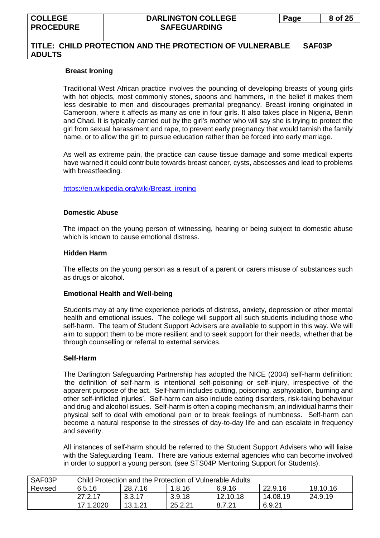#### **Breast Ironing**

Traditional West African practice involves the pounding of developing breasts of young girls with hot objects, most commonly stones, spoons and hammers, in the belief it makes them less desirable to men and discourages premarital pregnancy. Breast ironing originated in [Cameroon,](http://europe.newsweek.com/search?q=Cameroon&op=Search) where it affects as many as one in four girls. It also takes place in Nigeria, Benin and Chad. It is typically carried out by the girl's mother who will say she is trying to protect the girl from sexual harassment and rape, to prevent early pregnancy that would tarnish the family name, or to allow the girl to pursue education rather than be forced into early marriage.

As well as extreme pain, the practice can cause tissue damage and some medical experts have warned it could contribute towards breast cancer, cysts, abscesses and lead to problems with breastfeeding.

#### [https://en.wikipedia.org/wiki/Breast\\_ironing](https://en.wikipedia.org/wiki/Breast_ironing)

#### **Domestic Abuse**

The impact on the young person of witnessing, hearing or being subject to domestic abuse which is known to cause emotional distress.

#### **Hidden Harm**

The effects on the young person as a result of a parent or carers misuse of substances such as drugs or alcohol.

#### **Emotional Health and Well-being**

Students may at any time experience periods of distress, anxiety, depression or other mental health and emotional issues. The college will support all such students including those who self-harm. The team of Student Support Advisers are available to support in this way. We will aim to support them to be more resilient and to seek support for their needs, whether that be through counselling or referral to external services.

#### **Self-Harm**

The Darlington Safeguarding Partnership has adopted the NICE (2004) self-harm definition: 'the definition of self-harm is intentional self-poisoning or self-injury, irrespective of the apparent purpose of the act. Self-harm includes cutting, poisoning, asphyxiation, burning and other self-inflicted injuries'. Self-harm can also include eating disorders, risk-taking behaviour and drug and alcohol issues. Self-harm is often a coping mechanism, an individual harms their physical self to deal with emotional pain or to break feelings of numbness. Self-harm can become a natural response to the stresses of day-to-day life and can escalate in frequency and severity.

All instances of self-harm should be referred to the Student Support Advisers who will liaise with the Safeguarding Team. There are various external agencies who can become involved in order to support a young person. (see STS04P Mentoring Support for Students).

| SAF03P  | Child Protection and the Protection of Vulnerable Adults |                                                    |        |          |          |         |  |  |  |
|---------|----------------------------------------------------------|----------------------------------------------------|--------|----------|----------|---------|--|--|--|
| Revised | 6.5.16                                                   | 22.9.16<br>28.7.16<br>6.9.16<br>18.10.16<br>1.8.16 |        |          |          |         |  |  |  |
|         | 27.2.17                                                  | 3.3.17                                             | 3.9.18 | 12.10.18 | 14.08.19 | 24.9.19 |  |  |  |
|         | 17.1.2020                                                | 13.1.21<br>25.2.21<br>6.9.21<br>8.7.21             |        |          |          |         |  |  |  |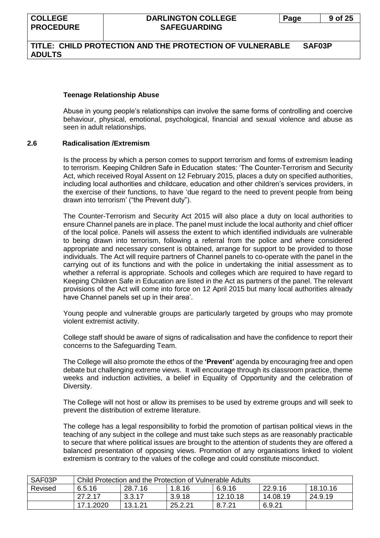# **Teenage Relationship Abuse**

Abuse in young people's relationships can involve the same forms of controlling and coercive behaviour, physical, emotional, psychological, financial and sexual violence and abuse as seen in adult relationships.

# **2.6 Radicalisation /Extremism**

Is the process by which a person comes to support terrorism and forms of extremism leading to terrorism. Keeping Children Safe in Education states: 'The Counter-Terrorism and Security Act, which received Royal Assent on 12 February 2015, places a duty on specified authorities, including local authorities and childcare, education and other children's services providers, in the exercise of their functions, to have 'due regard to the need to prevent people from being drawn into terrorism' ("the Prevent duty").

The Counter-Terrorism and Security Act 2015 will also place a duty on local authorities to ensure Channel panels are in place. The panel must include the local authority and chief officer of the local police. Panels will assess the extent to which identified individuals are vulnerable to being drawn into terrorism, following a referral from the police and where considered appropriate and necessary consent is obtained, arrange for support to be provided to those individuals. The Act will require partners of Channel panels to co-operate with the panel in the carrying out of its functions and with the police in undertaking the initial assessment as to whether a referral is appropriate. Schools and colleges which are required to have regard to Keeping Children Safe in Education are listed in the Act as partners of the panel. The relevant provisions of the Act will come into force on 12 April 2015 but many local authorities already have Channel panels set up in their area'.

Young people and vulnerable groups are particularly targeted by groups who may promote violent extremist activity.

College staff should be aware of signs of radicalisation and have the confidence to report their concerns to the Safeguarding Team.

The College will also promote the ethos of the **'Prevent'** agenda by encouraging free and open debate but challenging extreme views. It will encourage through its classroom practice, theme weeks and induction activities, a belief in Equality of Opportunity and the celebration of Diversity.

The College will not host or allow its premises to be used by extreme groups and will seek to prevent the distribution of extreme literature.

The college has a legal responsibility to forbid the promotion of partisan political views in the teaching of any subject in the college and must take such steps as are reasonably practicable to secure that where political issues are brought to the attention of students they are offered a balanced presentation of opposing views. Promotion of any organisations linked to violent extremism is contrary to the values of the college and could constitute misconduct.

| SAF03P  | Child Protection and the Protection of Vulnerable Adults |                                                    |         |          |          |         |  |  |
|---------|----------------------------------------------------------|----------------------------------------------------|---------|----------|----------|---------|--|--|
| Revised | 6.5.16                                                   | 22.9.16<br>6.9.16<br>18.10.16<br>28.7.16<br>1.8.16 |         |          |          |         |  |  |
|         | 27.2.17                                                  | 3.3.17                                             | 3.9.18  | 12.10.18 | 14.08.19 | 24.9.19 |  |  |
|         | 17.1.2020                                                | 13.1.21                                            | 25.2.21 | 8.7.21   | 6.9.21   |         |  |  |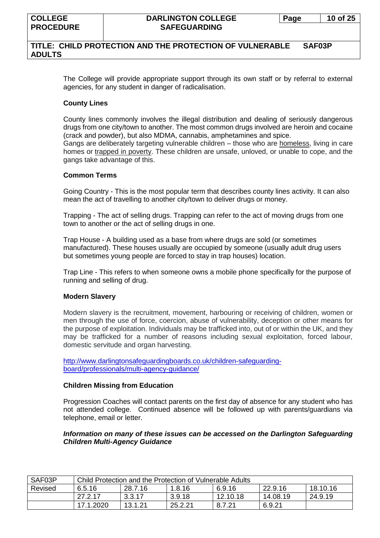## **TITLE: CHILD PROTECTION AND THE PROTECTION OF VULNERABLE SAF03P ADULTS**

The College will provide appropriate support through its own staff or by referral to external agencies, for any student in danger of radicalisation.

#### **County Lines**

County lines commonly involves the illegal distribution and dealing of seriously dangerous drugs from one city/town to another. The most common drugs involved are heroin and cocaine (crack and powder), but also MDMA, cannabis, amphetamines and spice.

Gangs are deliberately targeting vulnerable children – those who are [homeless,](https://www.childrenssociety.org.uk/what-we-do/helping-children/missing-from-home-services-0) living in care homes or [trapped in poverty.](https://www.childrenssociety.org.uk/what-we-do/helping-children/ending-child-poverty) These children are unsafe, unloved, or unable to cope, and the gangs take advantage of this.

#### **Common Terms**

Going Country - This is the most popular term that describes county lines activity. It can also mean the act of travelling to another city/town to deliver drugs or money.

Trapping - The act of selling drugs. Trapping can refer to the act of moving drugs from one town to another or the act of selling drugs in one.

Trap House - A building used as a base from where drugs are sold (or sometimes manufactured). These houses usually are occupied by someone (usually adult drug users but sometimes young people are forced to stay in trap houses) location.

Trap Line - This refers to when someone owns a mobile phone specifically for the purpose of running and selling of drug.

#### **Modern Slavery**

Modern slavery is the recruitment, movement, harbouring or receiving of children, women or men through the use of force, coercion, abuse of vulnerability, deception or other means for the purpose of exploitation. Individuals may be trafficked into, out of or within the UK, and they may be trafficked for a number of reasons including sexual exploitation, forced labour, domestic servitude and organ harvesting.

[http://www.darlingtonsafeguardingboards.co.uk/children-safeguarding](http://www.darlingtonsafeguardingboards.co.uk/children-safeguarding-board/professionals/multi-agency-guidance/)[board/professionals/multi-agency-guidance/](http://www.darlingtonsafeguardingboards.co.uk/children-safeguarding-board/professionals/multi-agency-guidance/)

#### **Children Missing from Education**

Progression Coaches will contact parents on the first day of absence for any student who has not attended college. Continued absence will be followed up with parents/guardians via telephone, email or letter.

#### *Information on many of these issues can be accessed on the Darlington Safeguarding Children Multi-Agency Guidance*

| SAF03P  | Child Protection and the Protection of Vulnerable Adults |                                                    |        |          |          |         |  |  |  |
|---------|----------------------------------------------------------|----------------------------------------------------|--------|----------|----------|---------|--|--|--|
| Revised | 6.5.16                                                   | 6.9.16<br>22.9.16<br>18.10.16<br>28.7.16<br>1.8.16 |        |          |          |         |  |  |  |
|         | 27.2.17                                                  | 3.3.17                                             | 3.9.18 | 12.10.18 | 14.08.19 | 24.9.19 |  |  |  |
|         | 17.1.2020                                                | 25.2.21<br>13.1.21<br>8.7.21<br>6.9.21             |        |          |          |         |  |  |  |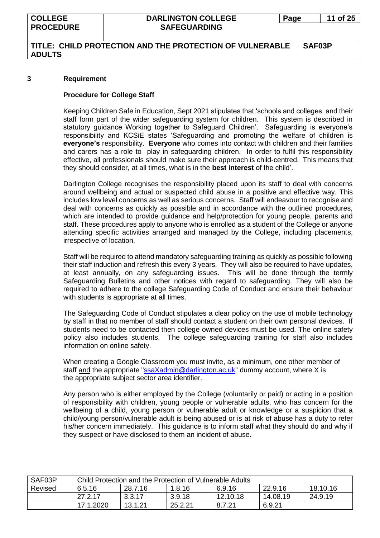## **TITLE: CHILD PROTECTION AND THE PROTECTION OF VULNERABLE SAF03P ADULTS**

#### **3 Requirement**

#### **Procedure for College Staff**

Keeping Children Safe in Education, Sept 2021 stipulates that 'schools and colleges and their staff form part of the wider safeguarding system for children. This system is described in statutory guidance Working together to Safeguard Children'. Safeguarding is everyone's responsibility and KCSiE states 'Safeguarding and promoting the welfare of children is **everyone's** responsibility. **Everyone** who comes into contact with children and their families and carers has a role to play in safeguarding children. In order to fulfil this responsibility effective, all professionals should make sure their approach is child-centred. This means that they should consider, at all times, what is in the **best interest** of the child'.

Darlington College recognises the responsibility placed upon its staff to deal with concerns around wellbeing and actual or suspected child abuse in a positive and effective way. This includes low level concerns as well as serious concerns. Staff will endeavour to recognise and deal with concerns as quickly as possible and in accordance with the outlined procedures, which are intended to provide guidance and help/protection for young people, parents and staff. These procedures apply to anyone who is enrolled as a student of the College or anyone attending specific activities arranged and managed by the College, including placements, irrespective of location.

Staff will be required to attend mandatory safeguarding training as quickly as possible following their staff induction and refresh this every 3 years. They will also be required to have updates, at least annually, on any safeguarding issues. This will be done through the termly Safeguarding Bulletins and other notices with regard to safeguarding. They will also be required to adhere to the college Safeguarding Code of Conduct and ensure their behaviour with students is appropriate at all times.

The Safeguarding Code of Conduct stipulates a clear policy on the use of mobile technology by staff in that no member of staff should contact a student on their own personal devices. If students need to be contacted then college owned devices must be used. The online safety policy also includes students. The college safeguarding training for staff also includes information on online safety.

When creating a Google Classroom you must invite, as a minimum, one other member of staff and the appropriate ["ssaXadmin@darlington.ac.uk"](mailto:ssaXadmin@darlington.ac.uk) dummy account, where X is the appropriate subject sector area identifier.

Any person who is either employed by the College (voluntarily or paid) or acting in a position of responsibility with children, young people or vulnerable adults, who has concern for the wellbeing of a child, young person or vulnerable adult or knowledge or a suspicion that a child/young person/vulnerable adult is being abused or is at risk of abuse has a duty to refer his/her concern immediately. This guidance is to inform staff what they should do and why if they suspect or have disclosed to them an incident of abuse.

| SAF03P  | Child Protection and the Protection of Vulnerable Adults |                                                    |         |          |          |         |  |  |
|---------|----------------------------------------------------------|----------------------------------------------------|---------|----------|----------|---------|--|--|
| Revised | 6.5.16                                                   | 22.9.16<br>18.10.16<br>6.9.16<br>28.7.16<br>1.8.16 |         |          |          |         |  |  |
|         | 27.2.17                                                  | 3.3.17                                             | 3.9.18  | 12.10.18 | 14.08.19 | 24.9.19 |  |  |
|         | 17.1.2020                                                | 13.1.21                                            | 25.2.21 | 8.7.21   | 6.9.21   |         |  |  |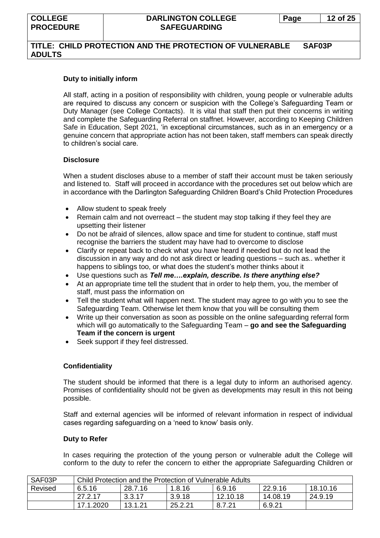#### **Duty to initially inform**

All staff, acting in a position of responsibility with children, young people or vulnerable adults are required to discuss any concern or suspicion with the College's Safeguarding Team or Duty Manager (see College Contacts). It is vital that staff then put their concerns in writing and complete the Safeguarding Referral on staffnet. However, according to Keeping Children Safe in Education, Sept 2021, 'in exceptional circumstances, such as in an emergency or a genuine concern that appropriate action has not been taken, staff members can speak directly to children's social care.

#### **Disclosure**

When a student discloses abuse to a member of staff their account must be taken seriously and listened to. Staff will proceed in accordance with the procedures set out below which are in accordance with the Darlington Safeguarding Children Board's Child Protection Procedures

- Allow student to speak freely
- Remain calm and not overreact the student may stop talking if they feel they are upsetting their listener
- Do not be afraid of silences, allow space and time for student to continue, staff must recognise the barriers the student may have had to overcome to disclose
- Clarify or repeat back to check what you have heard if needed but do not lead the discussion in any way and do not ask direct or leading questions – such as.. whether it happens to siblings too, or what does the student's mother thinks about it
- Use questions such as *Tell me….explain, describe. Is there anything else?*
- At an appropriate time tell the student that in order to help them, you, the member of staff, must pass the information on
- Tell the student what will happen next. The student may agree to go with you to see the Safeguarding Team. Otherwise let them know that you will be consulting them
- Write up their conversation as soon as possible on the online safeguarding referral form which will go automatically to the Safeguarding Team – **go and see the Safeguarding Team if the concern is urgent**
- Seek support if they feel distressed.

#### **Confidentiality**

The student should be informed that there is a legal duty to inform an authorised agency. Promises of confidentiality should not be given as developments may result in this not being possible.

Staff and external agencies will be informed of relevant information in respect of individual cases regarding safeguarding on a 'need to know' basis only.

#### **Duty to Refer**

In cases requiring the protection of the young person or vulnerable adult the College will conform to the duty to refer the concern to either the appropriate Safeguarding Children or

| SAF03P  | Child Protection and the Protection of Vulnerable Adults |                                                    |         |          |          |         |  |  |
|---------|----------------------------------------------------------|----------------------------------------------------|---------|----------|----------|---------|--|--|
| Revised | 6.5.16                                                   | 18.10.16<br>28.7.16<br>22.9.16<br>6.9.16<br>1.8.16 |         |          |          |         |  |  |
|         | 27.2.17                                                  | 3.3.17                                             | 3.9.18  | 12.10.18 | 14.08.19 | 24.9.19 |  |  |
|         | 17.1.2020                                                | 13.1.21                                            | 25.2.21 | 8.7.21   | 6.9.21   |         |  |  |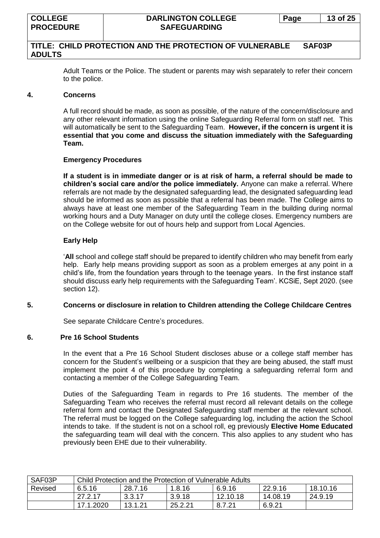Adult Teams or the Police. The student or parents may wish separately to refer their concern to the police.

#### **4. Concerns**

A full record should be made, as soon as possible, of the nature of the concern/disclosure and any other relevant information using the online Safeguarding Referral form on staff net. This will automatically be sent to the Safeguarding Team. **However, if the concern is urgent it is essential that you come and discuss the situation immediately with the Safeguarding Team.**

#### **Emergency Procedures**

**If a student is in immediate danger or is at risk of harm, a referral should be made to children's social care and/or the police immediately.** Anyone can make a referral. Where referrals are not made by the designated safeguarding lead, the designated safeguarding lead should be informed as soon as possible that a referral has been made. The College aims to always have at least one member of the Safeguarding Team in the building during normal working hours and a Duty Manager on duty until the college closes. Emergency numbers are on the College website for out of hours help and support from Local Agencies.

#### **Early Help**

'**All** school and college staff should be prepared to identify children who may benefit from early help. Early help means providing support as soon as a problem emerges at any point in a child's life, from the foundation years through to the teenage years. In the first instance staff should discuss early help requirements with the Safeguarding Team'. KCSiE, Sept 2020. (see section 12).

#### **5. Concerns or disclosure in relation to Children attending the College Childcare Centres**

See separate Childcare Centre's procedures.

#### **6. Pre 16 School Students**

In the event that a Pre 16 School Student discloses abuse or a college staff member has concern for the Student's wellbeing or a suspicion that they are being abused, the staff must implement the point 4 of this procedure by completing a safeguarding referral form and contacting a member of the College Safeguarding Team.

Duties of the Safeguarding Team in regards to Pre 16 students. The member of the Safeguarding Team who receives the referral must record all relevant details on the college referral form and contact the Designated Safeguarding staff member at the relevant school. The referral must be logged on the College safeguarding log, including the action the School intends to take. If the student is not on a school roll, eg previously **Elective Home Educated** the safeguarding team will deal with the concern. This also applies to any student who has previously been EHE due to their vulnerability.

| SAF03P  | Child Protection and the Protection of Vulnerable Adults |                                                    |         |          |          |         |  |
|---------|----------------------------------------------------------|----------------------------------------------------|---------|----------|----------|---------|--|
| Revised | 6.5.16                                                   | 18.10.16<br>22.9.16<br>28.7.16<br>6.9.16<br>1.8.16 |         |          |          |         |  |
|         | 27.2.17                                                  | 3.3.17                                             | 3.9.18  | 12.10.18 | 14.08.19 | 24.9.19 |  |
|         | 17.1.2020                                                | 13.1.21                                            | 25.2.21 | 8.7.21   | 6.9.21   |         |  |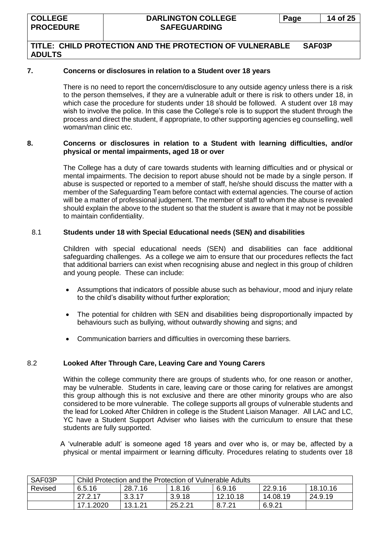#### **7. Concerns or disclosures in relation to a Student over 18 years**

There is no need to report the concern/disclosure to any outside agency unless there is a risk to the person themselves, if they are a vulnerable adult or there is risk to others under 18, in which case the procedure for students under 18 should be followed. A student over 18 may wish to involve the police. In this case the College's role is to support the student through the process and direct the student, if appropriate, to other supporting agencies eg counselling, well woman/man clinic etc.

#### **8. Concerns or disclosures in relation to a Student with learning difficulties, and/or physical or mental impairments, aged 18 or over**

The College has a duty of care towards students with learning difficulties and or physical or mental impairments. The decision to report abuse should not be made by a single person. If abuse is suspected or reported to a member of staff, he/she should discuss the matter with a member of the Safeguarding Team before contact with external agencies. The course of action will be a matter of professional judgement. The member of staff to whom the abuse is revealed should explain the above to the student so that the student is aware that it may not be possible to maintain confidentiality.

## 8.1 **Students under 18 with Special Educational needs (SEN) and disabilities**

Children with special educational needs (SEN) and disabilities can face additional safeguarding challenges. As a college we aim to ensure that our procedures reflects the fact that additional barriers can exist when recognising abuse and neglect in this group of children and young people. These can include:

- Assumptions that indicators of possible abuse such as behaviour, mood and injury relate to the child's disability without further exploration;
- The potential for children with SEN and disabilities being disproportionally impacted by behaviours such as bullying, without outwardly showing and signs; and
- Communication barriers and difficulties in overcoming these barriers.

## 8.2 **Looked After Through Care, Leaving Care and Young Carers**

Within the college community there are groups of students who, for one reason or another, may be vulnerable. Students in care, leaving care or those caring for relatives are amongst this group although this is not exclusive and there are other minority groups who are also considered to be more vulnerable. The college supports all groups of vulnerable students and the lead for Looked After Children in college is the Student Liaison Manager. All LAC and LC, YC have a Student Support Adviser who liaises with the curriculum to ensure that these students are fully supported.

 A 'vulnerable adult' is someone aged 18 years and over who is, or may be, affected by a physical or mental impairment or learning difficulty. Procedures relating to students over 18

| SAF03P  | Child Protection and the Protection of Vulnerable Adults |         |         |          |          |          |  |  |
|---------|----------------------------------------------------------|---------|---------|----------|----------|----------|--|--|
| Revised | 6.5.16                                                   | 28.7.16 | 1.8.16  | 6.9.16   | 22.9.16  | 18.10.16 |  |  |
|         | 27.2.17                                                  | 3.3.17  | 3.9.18  | 12.10.18 | 14.08.19 | 24.9.19  |  |  |
|         | 17.1.2020                                                | 13.1.21 | 25.2.21 | 8.7.21   | 6.9.21   |          |  |  |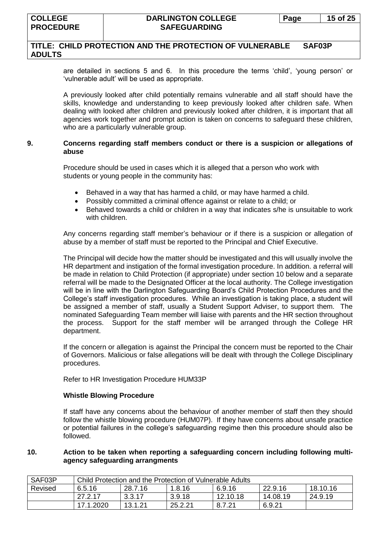## **TITLE: CHILD PROTECTION AND THE PROTECTION OF VULNERABLE SAF03P ADULTS**

are detailed in sections 5 and 6. In this procedure the terms 'child', 'young person' or 'vulnerable adult' will be used as appropriate.

A previously looked after child potentially remains vulnerable and all staff should have the skills, knowledge and understanding to keep previously looked after children safe. When dealing with looked after children and previously looked after children, it is important that all agencies work together and prompt action is taken on concerns to safeguard these children, who are a particularly vulnerable group.

#### **9. Concerns regarding staff members conduct or there is a suspicion or allegations of abuse**

Procedure should be used in cases which it is alleged that a person who work with students or young people in the community has:

- Behaved in a way that has harmed a child, or may have harmed a child.
- Possibly committed a criminal offence against or relate to a child; or
- Behaved towards a child or children in a way that indicates s/he is unsuitable to work with children.

Any concerns regarding staff member's behaviour or if there is a suspicion or allegation of abuse by a member of staff must be reported to the Principal and Chief Executive.

The Principal will decide how the matter should be investigated and this will usually involve the HR department and instigation of the formal investigation procedure. In addition. a referral will be made in relation to Child Protection (if appropriate) under section 10 below and a separate referral will be made to the Designated Officer at the local authority. The College investigation will be in line with the Darlington Safeguarding Board's Child Protection Procedures and the College's staff investigation procedures. While an investigation is taking place, a student will be assigned a member of staff, usually a Student Support Adviser, to support them. The nominated Safeguarding Team member will liaise with parents and the HR section throughout the process. Support for the staff member will be arranged through the College HR department.

If the concern or allegation is against the Principal the concern must be reported to the Chair of Governors. Malicious or false allegations will be dealt with through the College Disciplinary procedures.

Refer to HR Investigation Procedure HUM33P

#### **Whistle Blowing Procedure**

If staff have any concerns about the behaviour of another member of staff then they should follow the whistle blowing procedure (HUM07P). If they have concerns about unsafe practice or potential failures in the college's safeguarding regime then this procedure should also be followed.

#### **10. Action to be taken when reporting a safeguarding concern including following multiagency safeguarding arrangments**

| SAF03P  | Child Protection and the Protection of Vulnerable Adults     |         |         |          |          |         |  |
|---------|--------------------------------------------------------------|---------|---------|----------|----------|---------|--|
| Revised | 18.10.16<br>28.7.16<br>22.9.16<br>6.9.16<br>1.8.16<br>6.5.16 |         |         |          |          |         |  |
|         | 27.2.17                                                      | 3.3.17  | 3.9.18  | 12.10.18 | 14.08.19 | 24.9.19 |  |
|         | 17.1.2020                                                    | 13.1.21 | 25.2.21 | 8.7.21   | 6.9.21   |         |  |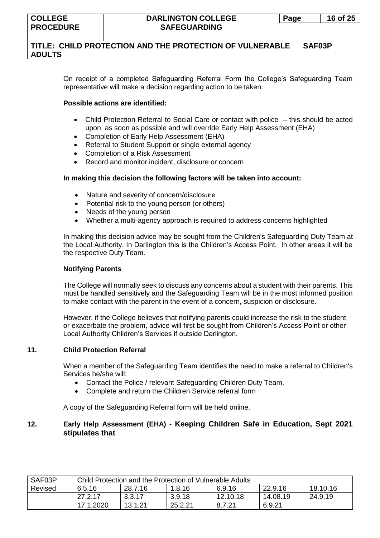## **TITLE: CHILD PROTECTION AND THE PROTECTION OF VULNERABLE SAF03P ADULTS**

On receipt of a completed Safeguarding Referral Form the College's Safeguarding Team representative will make a decision regarding action to be taken.

#### **Possible actions are identified:**

- Child Protection Referral to Social Care or contact with police this should be acted upon as soon as possible and will override Early Help Assessment (EHA)
- Completion of Early Help Assessment (EHA)
- Referral to Student Support or single external agency
- Completion of a Risk Assessment
- Record and monitor incident, disclosure or concern

#### **In making this decision the following factors will be taken into account:**

- Nature and severity of concern/disclosure
- Potential risk to the young person (or others)
- Needs of the young person
- Whether a multi-agency approach is required to address concerns highlighted

In making this decision advice may be sought from the Children's Safeguarding Duty Team at the Local Authority. In Darlington this is the Children's Access Point. In other areas it will be the respective Duty Team.

#### **Notifying Parents**

The College will normally seek to discuss any concerns about a student with their parents. This must be handled sensitively and the Safeguarding Team will be in the most informed position to make contact with the parent in the event of a concern, suspicion or disclosure.

However, if the College believes that notifying parents could increase the risk to the student or exacerbate the problem, advice will first be sought from Children's Access Point or other Local Authority Children's Services if outside Darlington.

#### **11. Child Protection Referral**

When a member of the Safeguarding Team identifies the need to make a referral to Children's Services he/she will:

- Contact the Police / relevant Safeguarding Children Duty Team,
- Complete and return the Children Service referral form

A copy of the Safeguarding Referral form will be held online.

## **12. Early Help Assessment (EHA) - Keeping Children Safe in Education, Sept 2021 stipulates that**

| SAF03P  | Child Protection and the Protection of Vulnerable Adults     |         |         |          |          |         |  |  |
|---------|--------------------------------------------------------------|---------|---------|----------|----------|---------|--|--|
| Revised | 18.10.16<br>28.7.16<br>22.9.16<br>1.8.16<br>6.9.16<br>6.5.16 |         |         |          |          |         |  |  |
|         | 27.2.17                                                      | 3.3.17  | 3.9.18  | 12.10.18 | 14.08.19 | 24.9.19 |  |  |
|         | 17.1.2020                                                    | 13.1.21 | 25.2.21 | 8.7.21   | 6.9.21   |         |  |  |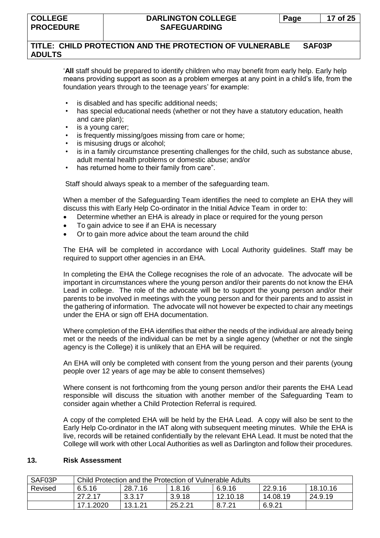## **TITLE: CHILD PROTECTION AND THE PROTECTION OF VULNERABLE SAF03P ADULTS**

'**All** staff should be prepared to identify children who may benefit from early help. Early help means providing support as soon as a problem emerges at any point in a child's life, from the foundation years through to the teenage years' for example:

- is disabled and has specific additional needs;
- has special educational needs (whether or not they have a statutory education, health and care plan);
- is a young carer;
- is frequently missing/goes missing from care or home;
- is misusing drugs or alcohol;
- is in a family circumstance presenting challenges for the child, such as substance abuse, adult mental health problems or domestic abuse; and/or
- has returned home to their family from care".

Staff should always speak to a member of the safeguarding team.

When a member of the Safeguarding Team identifies the need to complete an EHA they will discuss this with Early Help Co-ordinator in the Initial Advice Team in order to:

- Determine whether an EHA is already in place or required for the young person
- To gain advice to see if an EHA is necessary
- Or to gain more advice about the team around the child

The EHA will be completed in accordance with Local Authority guidelines. Staff may be required to support other agencies in an EHA.

In completing the EHA the College recognises the role of an advocate. The advocate will be important in circumstances where the young person and/or their parents do not know the EHA Lead in college. The role of the advocate will be to support the young person and/or their parents to be involved in meetings with the young person and for their parents and to assist in the gathering of information. The advocate will not however be expected to chair any meetings under the EHA or sign off EHA documentation.

Where completion of the EHA identifies that either the needs of the individual are already being met or the needs of the individual can be met by a single agency (whether or not the single agency is the College) it is unlikely that an EHA will be required.

An EHA will only be completed with consent from the young person and their parents (young people over 12 years of age may be able to consent themselves)

Where consent is not forthcoming from the young person and/or their parents the EHA Lead responsible will discuss the situation with another member of the Safeguarding Team to consider again whether a Child Protection Referral is required.

A copy of the completed EHA will be held by the EHA Lead. A copy will also be sent to the Early Help Co-ordinator in the IAT along with subsequent meeting minutes. While the EHA is live, records will be retained confidentially by the relevant EHA Lead. It must be noted that the College will work with other Local Authorities as well as Darlington and follow their procedures.

#### **13. Risk Assessment**

| SAF03P  | Child Protection and the Protection of Vulnerable Adults |         |         |          |          |          |  |  |
|---------|----------------------------------------------------------|---------|---------|----------|----------|----------|--|--|
| Revised | 6.5.16                                                   | 28.7.16 | 1.8.16  | 6.9.16   | 22.9.16  | 18.10.16 |  |  |
|         | 27.2.17                                                  | 3.3.17  | 3.9.18  | 12.10.18 | 14.08.19 | 24.9.19  |  |  |
|         | 17.1.2020                                                | 13.1.21 | 25.2.21 | 8.7.21   | 6.9.21   |          |  |  |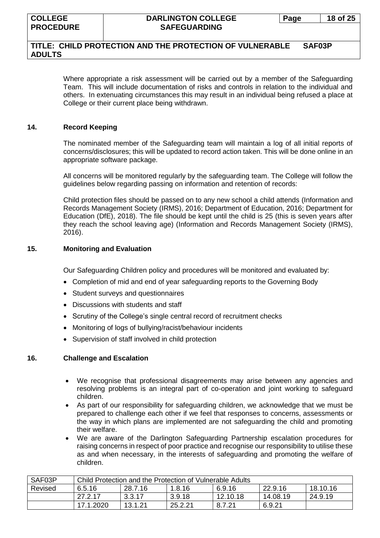## **TITLE: CHILD PROTECTION AND THE PROTECTION OF VULNERABLE SAF03P ADULTS**

Where appropriate a risk assessment will be carried out by a member of the Safeguarding Team. This will include documentation of risks and controls in relation to the individual and others. In extenuating circumstances this may result in an individual being refused a place at College or their current place being withdrawn.

#### **14. Record Keeping**

The nominated member of the Safeguarding team will maintain a log of all initial reports of concerns/disclosures; this will be updated to record action taken. This will be done online in an appropriate software package.

All concerns will be monitored regularly by the safeguarding team. The College will follow the guidelines below regarding passing on information and retention of records:

Child protection files should be passed on to any new school a child attends (Information and Records Management Society (IRMS), 2016; Department of Education, 2016; Department for Education (DfE), 2018). The file should be kept until the child is 25 (this is seven years after they reach the school leaving age) (Information and Records Management Society (IRMS), 2016).

## **15. Monitoring and Evaluation**

Our Safeguarding Children policy and procedures will be monitored and evaluated by:

- Completion of mid and end of year safeguarding reports to the Governing Body
- Student surveys and questionnaires
- Discussions with students and staff
- Scrutiny of the College's single central record of recruitment checks
- Monitoring of logs of bullying/racist/behaviour incidents
- Supervision of staff involved in child protection

## **16. Challenge and Escalation**

- We recognise that professional disagreements may arise between any agencies and resolving problems is an integral part of co-operation and joint working to safeguard children.
- As part of our responsibility for safeguarding children, we acknowledge that we must be prepared to challenge each other if we feel that responses to concerns, assessments or the way in which plans are implemented are not safeguarding the child and promoting their welfare.
- We are aware of the Darlington Safeguarding Partnership escalation procedures for raising concerns in respect of poor practice and recognise our responsibility to utilise these as and when necessary, in the interests of safeguarding and promoting the welfare of children.

| SAF03P  | Child Protection and the Protection of Vulnerable Adults     |         |         |          |          |         |  |
|---------|--------------------------------------------------------------|---------|---------|----------|----------|---------|--|
| Revised | 22.9.16<br>18.10.16<br>28.7.16<br>1.8.16<br>6.5.16<br>6.9.16 |         |         |          |          |         |  |
|         | 27.2.17                                                      | 3.3.17  | 3.9.18  | 12.10.18 | 14.08.19 | 24.9.19 |  |
|         | 17.1.2020                                                    | 13.1.21 | 25.2.21 | 8.7.21   | 6.9.21   |         |  |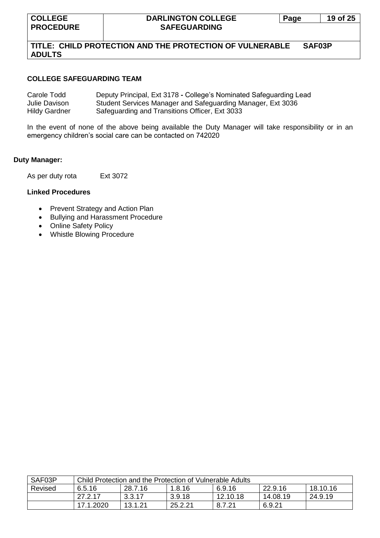## **TITLE: CHILD PROTECTION AND THE PROTECTION OF VULNERABLE SAF03P ADULTS**

#### **COLLEGE SAFEGUARDING TEAM**

| Carole Todd          | Deputy Principal, Ext 3178 - College's Nominated Safeguarding Lead |
|----------------------|--------------------------------------------------------------------|
| Julie Davison        | Student Services Manager and Safeguarding Manager, Ext 3036        |
| <b>Hildy Gardner</b> | Safeguarding and Transitions Officer, Ext 3033                     |

In the event of none of the above being available the Duty Manager will take responsibility or in an emergency children's social care can be contacted on 742020

#### **Duty Manager:**

As per duty rota Ext 3072

## **Linked Procedures**

- Prevent Strategy and Action Plan
- Bullying and Harassment Procedure
- Online Safety Policy
- Whistle Blowing Procedure

| SAF03P  | Child Protection and the Protection of Vulnerable Adults |         |         |          |          |          |  |  |
|---------|----------------------------------------------------------|---------|---------|----------|----------|----------|--|--|
| Revised | 6.5.16                                                   | 28.7.16 | 1.8.16  | 6.9.16   | 22.9.16  | 18.10.16 |  |  |
|         | 27.2.17                                                  | 3.3.17  | 3.9.18  | 12.10.18 | 14.08.19 | 24.9.19  |  |  |
|         | 17.1.2020                                                | 13.1.21 | 25.2.21 | 8.7.21   | 6.9.21   |          |  |  |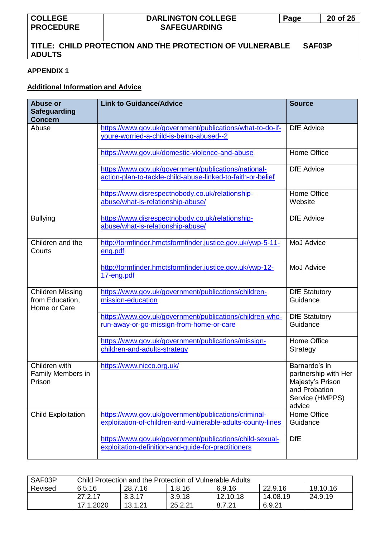# **TITLE: CHILD PROTECTION AND THE PROTECTION OF VULNERABLE SAF03P ADULTS**

## **APPENDIX 1**

## **Additional Information and Advice**

| <b>Abuse or</b><br><b>Safeguarding</b><br><b>Concern</b>   | <b>Link to Guidance/Advice</b>                                                                                      | <b>Source</b>                                                                                           |
|------------------------------------------------------------|---------------------------------------------------------------------------------------------------------------------|---------------------------------------------------------------------------------------------------------|
| Abuse                                                      | https://www.gov.uk/government/publications/what-to-do-if-<br>youre-worried-a-child-is-being-abused--2               | <b>DfE</b> Advice                                                                                       |
|                                                            | https://www.gov.uk/domestic-violence-and-abuse                                                                      | Home Office                                                                                             |
|                                                            | https://www.gov.uk/government/publications/national-<br>action-plan-to-tackle-child-abuse-linked-to-faith-or-belief | <b>DfE</b> Advice                                                                                       |
|                                                            | https://www.disrespectnobody.co.uk/relationship-<br>abuse/what-is-relationship-abuse/                               | Home Office<br>Website                                                                                  |
| <b>Bullying</b>                                            | https://www.disrespectnobody.co.uk/relationship-<br>abuse/what-is-relationship-abuse/                               | <b>DfE</b> Advice                                                                                       |
| Children and the<br>Courts                                 | http://formfinder.hmctsformfinder.justice.gov.uk/ywp-5-11-<br>eng.pdf                                               | <b>MoJ Advice</b>                                                                                       |
|                                                            | http://formfinder.hmctsformfinder.justice.gov.uk/ywp-12-<br>17-eng.pdf                                              | <b>MoJ Advice</b>                                                                                       |
| <b>Children Missing</b><br>from Education,<br>Home or Care | https://www.gov.uk/government/publications/children-<br>missign-education                                           | <b>DfE Statutory</b><br>Guidance                                                                        |
|                                                            | https://www.gov.uk/government/publications/children-who-<br>run-away-or-go-missign-from-home-or-care                | <b>DfE Statutory</b><br>Guidance                                                                        |
|                                                            | https://www.gov.uk/government/publications/missign-<br>children-and-adults-strategy                                 | Home Office<br>Strategy                                                                                 |
| Children with<br>Family Members in<br>Prison               | https://www.nicco.org.uk/                                                                                           | Barnardo's in<br>partnership with Her<br>Majesty's Prison<br>and Probation<br>Service (HMPPS)<br>advice |
| <b>Child Exploitation</b>                                  | https://www.gov.uk/government/publications/criminal-<br>exploitation-of-children-and-vulnerable-adults-county-lines | <b>Home Office</b><br>Guidance                                                                          |
|                                                            | https://www.gov.uk/government/publications/child-sexual-<br>exploitation-definition-and-guide-for-practitioners     | <b>DfE</b>                                                                                              |

| SAF03P  | Child Protection and the Protection of Vulnerable Adults |         |         |          |          |          |  |  |
|---------|----------------------------------------------------------|---------|---------|----------|----------|----------|--|--|
| Revised | 6.5.16                                                   | 28.7.16 | 1.8.16  | 6.9.16   | 22.9.16  | 18.10.16 |  |  |
|         | 27.2.17                                                  | 3.3.17  | 3.9.18  | 12.10.18 | 14.08.19 | 24.9.19  |  |  |
|         | 17.1.2020                                                | 13.1.21 | 25.2.21 | 8.7.21   | 6.9.21   |          |  |  |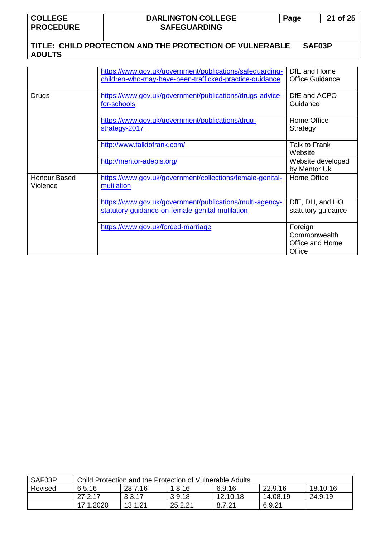**COLLEGE PROCEDURE**

## **DARLINGTON COLLEGE SAFEGUARDING**

**Page 21 of 25**

# **TITLE: CHILD PROTECTION AND THE PROTECTION OF VULNERABLE SAF03P ADULTS**

|                          | https://www.gov.uk/government/publications/safeguarding-<br>children-who-may-have-been-trafficked-practice-guidance | DfE and Home<br><b>Office Guidance</b>               |
|--------------------------|---------------------------------------------------------------------------------------------------------------------|------------------------------------------------------|
| Drugs                    | https://www.gov.uk/government/publications/drugs-advice-<br>for-schools                                             | DfE and ACPO<br>Guidance                             |
|                          | https://www.gov.uk/government/publications/drug-<br>strategy-2017                                                   | Home Office<br>Strategy                              |
|                          | http://www.talktofrank.com/                                                                                         | Talk to Frank<br>Website                             |
|                          | http://mentor-adepis.org/                                                                                           | Website developed<br>by Mentor Uk                    |
| Honour Based<br>Violence | https://www.gov.uk/government/collections/female-genital-<br>mutilation                                             | Home Office                                          |
|                          | https://www.gov.uk/government/publications/multi-agency-<br>statutory-guidance-on-female-genital-mutilation         | DfE, DH, and HO<br>statutory guidance                |
|                          | https://www.gov.uk/forced-marriage                                                                                  | Foreign<br>Commonwealth<br>Office and Home<br>Office |

| SAF03P  | Child Protection and the Protection of Vulnerable Adults     |         |         |          |          |         |  |  |
|---------|--------------------------------------------------------------|---------|---------|----------|----------|---------|--|--|
| Revised | 18.10.16<br>22.9.16<br>28.7.16<br>6.9.16<br>1.8.16<br>6.5.16 |         |         |          |          |         |  |  |
|         | 27.2.17                                                      | 3.3.17  | 3.9.18  | 12.10.18 | 14.08.19 | 24.9.19 |  |  |
|         | 17.1.2020                                                    | 13.1.21 | 25.2.21 | 8.7.21   | 6.9.21   |         |  |  |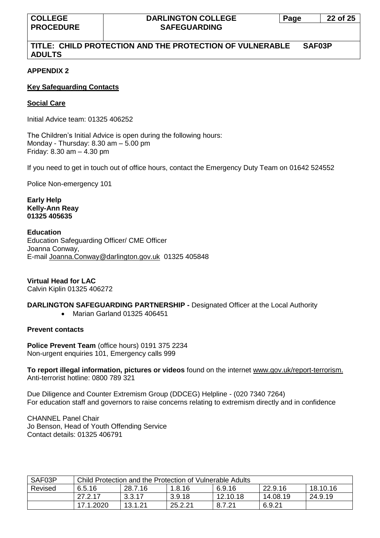## **TITLE: CHILD PROTECTION AND THE PROTECTION OF VULNERABLE SAF03P ADULTS**

## **APPENDIX 2**

## **Key Safeguarding Contacts**

## **Social Care**

Initial Advice team: 01325 406252

The Children's Initial Advice is open during the following hours: Monday - Thursday: 8.30 am – 5.00 pm Friday: 8.30 am – 4.30 pm

If you need to get in touch out of office hours, contact the Emergency Duty Team on 01642 524552

Police Non-emergency 101

**Early Help Kelly-Ann Reay 01325 405635**

#### **Education**

Education Safeguarding Officer/ CME Officer Joanna Conway, E-mail [Joanna.Conway@darlington.gov.uk](mailto:Joanna.Conway@darlington.gov.uk) 01325 405848

**Virtual Head for LAC** Calvin Kiplin 01325 406272

## **DARLINGTON SAFEGUARDING PARTNERSHIP -** Designated Officer at the Local Authority

• Marian Garland 01325 406451

## **Prevent contacts**

**Police Prevent Team** (office hours) 0191 375 2234 Non-urgent enquiries 101, Emergency calls 999

**To report illegal information, pictures or videos** found on the internet [www.gov.uk/report-terrorism.](http://www.gov.uk/report-terrorism) Anti-terrorist hotline: 0800 789 321

Due Diligence and Counter Extremism Group (DDCEG) Helpline - (020 7340 7264) For education staff and governors to raise concerns relating to extremism directly and in confidence

CHANNEL Panel Chair Jo Benson, Head of Youth Offending Service Contact details: 01325 406791

| SAF03P  | Child Protection and the Protection of Vulnerable Adults |         |         |          |          |          |
|---------|----------------------------------------------------------|---------|---------|----------|----------|----------|
| Revised | 6.5.16                                                   | 28.7.16 | 1.8.16  | 6.9.16   | 22.9.16  | 18.10.16 |
|         | 27.2.17                                                  | 3.3.17  | 3.9.18  | 12.10.18 | 14.08.19 | 24.9.19  |
|         | 17.1.2020                                                | 13.1.21 | 25.2.21 | 8.7.21   | 6.9.21   |          |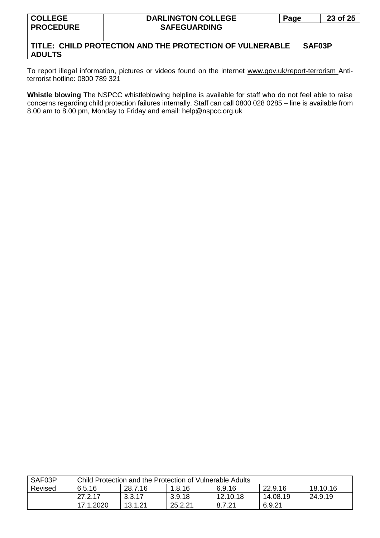## **TITLE: CHILD PROTECTION AND THE PROTECTION OF VULNERABLE SAF03P ADULTS**

To report illegal information, pictures or videos found on the internet [www.gov.uk/report-terrorism](http://www.gov.uk/report-terrorism) Antiterrorist hotline: 0800 789 321

**Whistle blowing** The NSPCC whistleblowing helpline is available for staff who do not feel able to raise concerns regarding child protection failures internally. Staff can call 0800 028 0285 – line is available from 8.00 am to 8.00 pm, Monday to Friday and email: help@nspcc.org.uk

| SAF03P  | Child Protection and the Protection of Vulnerable Adults |         |         |          |          |          |
|---------|----------------------------------------------------------|---------|---------|----------|----------|----------|
| Revised | 6.5.16                                                   | 28.7.16 | 1.8.16  | 6.9.16   | 22.9.16  | 18.10.16 |
|         | 27.2.17                                                  | 3.3.17  | 3.9.18  | 12.10.18 | 14.08.19 | 24.9.19  |
|         | 17.1.2020                                                | 13.1.21 | 25.2.21 | 8.7.21   | 6.9.21   |          |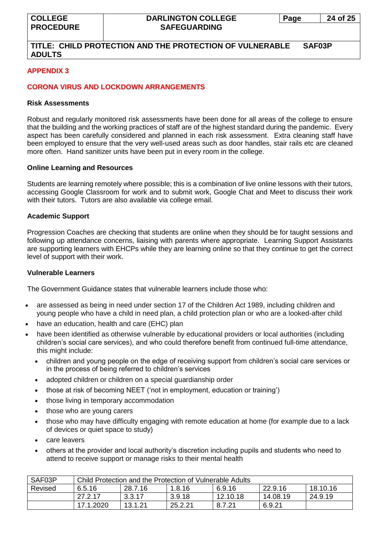## **TITLE: CHILD PROTECTION AND THE PROTECTION OF VULNERABLE SAF03P ADULTS**

## **APPENDIX 3**

## **CORONA VIRUS AND LOCKDOWN ARRANGEMENTS**

#### **Risk Assessments**

Robust and regularly monitored risk assessments have been done for all areas of the college to ensure that the building and the working practices of staff are of the highest standard during the pandemic. Every aspect has been carefully considered and planned in each risk assessment. Extra cleaning staff have been employed to ensure that the very well-used areas such as door handles, stair rails etc are cleaned more often. Hand sanitizer units have been put in every room in the college.

#### **Online Learning and Resources**

Students are learning remotely where possible; this is a combination of live online lessons with their tutors, accessing Google Classroom for work and to submit work, Google Chat and Meet to discuss their work with their tutors. Tutors are also available via college email.

#### **Academic Support**

Progression Coaches are checking that students are online when they should be for taught sessions and following up attendance concerns, liaising with parents where appropriate. Learning Support Assistants are supporting learners with EHCPs while they are learning online so that they continue to get the correct level of support with their work.

#### **Vulnerable Learners**

The Government Guidance states that vulnerable learners include those who:

- are assessed as being in need under section 17 of the Children Act 1989, including children and young people who have a child in need plan, a child protection plan or who are a looked-after child
- have an education, health and care (EHC) plan
- have been identified as otherwise vulnerable by educational providers or local authorities (including children's social care services), and who could therefore benefit from continued full-time attendance, this might include:
	- children and young people on the edge of receiving support from children's social care services or in the process of being referred to children's services
	- adopted children or children on a special guardianship order
	- those at risk of becoming NEET ('not in employment, education or training')
	- those living in temporary accommodation
	- those who are young carers
	- those who may have difficulty engaging with remote education at home (for example due to a lack of devices or quiet space to study)
	- care leavers
	- others at the provider and local authority's discretion including pupils and students who need to attend to receive support or manage risks to their mental health

| SAF03P  | Child Protection and the Protection of Vulnerable Adults |         |         |          |          |          |
|---------|----------------------------------------------------------|---------|---------|----------|----------|----------|
| Revised | 6.5.16                                                   | 28.7.16 | 1.8.16  | 6.9.16   | 22.9.16  | 18.10.16 |
|         | 27.2.17                                                  | 3.3.17  | 3.9.18  | 12.10.18 | 14.08.19 | 24.9.19  |
|         | 17.1.2020                                                | 13.1.21 | 25.2.21 | 8.7.21   | 6.9.21   |          |